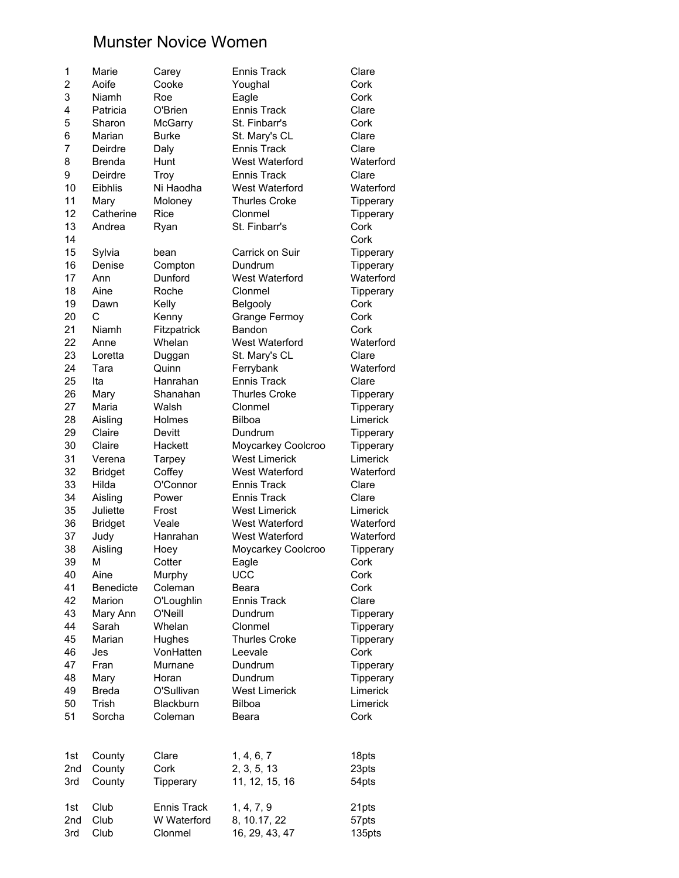## Munster Novice Women

| 1              | Marie            | Carey        | <b>Ennis Track</b>   | Clare     |
|----------------|------------------|--------------|----------------------|-----------|
| $\overline{2}$ | Aoife            | Cooke        | Youghal              | Cork      |
| 3              | Niamh            | Roe          | Eagle                | Cork      |
| 4              | Patricia         | O'Brien      | <b>Ennis Track</b>   | Clare     |
| 5              | Sharon           | McGarry      | St. Finbarr's        | Cork      |
| 6              | Marian           | <b>Burke</b> | St. Mary's CL        | Clare     |
| 7              | Deirdre          | Daly         | <b>Ennis Track</b>   | Clare     |
| 8              | <b>Brenda</b>    | Hunt         | West Waterford       | Waterford |
| 9              | Deirdre          | Troy         | <b>Ennis Track</b>   | Clare     |
| 10             | Eibhlis          | Ni Haodha    | West Waterford       | Waterford |
| 11             | Mary             | Moloney      | <b>Thurles Croke</b> | Tipperary |
| 12             | Catherine        | Rice         | Clonmel              | Tipperary |
| 13             | Andrea           | Ryan         | St. Finbarr's        | Cork      |
| 14             |                  |              |                      | Cork      |
| 15             |                  |              | Carrick on Suir      |           |
|                | Sylvia           | bean         |                      | Tipperary |
| 16             | Denise           | Compton      | Dundrum              | Tipperary |
| 17             | Ann              | Dunford      | West Waterford       | Waterford |
| 18             | Aine             | Roche        | Clonmel              | Tipperary |
| 19             | Dawn             | Kelly        | Belgooly             | Cork      |
| 20             | C                | Kenny        | Grange Fermoy        | Cork      |
| 21             | Niamh            | Fitzpatrick  | Bandon               | Cork      |
| 22             | Anne             | Whelan       | West Waterford       | Waterford |
| 23             | Loretta          | Duggan       | St. Mary's CL        | Clare     |
| 24             | Tara             | Quinn        | Ferrybank            | Waterford |
| 25             | Ita              | Hanrahan     | <b>Ennis Track</b>   | Clare     |
| 26             | Mary             | Shanahan     | <b>Thurles Croke</b> | Tipperary |
| 27             | Maria            | Walsh        | Clonmel              | Tipperary |
| 28             | Aisling          | Holmes       | <b>Bilboa</b>        | Limerick  |
| 29             | Claire           | Devitt       | Dundrum              | Tipperary |
| 30             | Claire           | Hackett      | Moycarkey Coolcroo   | Tipperary |
| 31             | Verena           | Tarpey       | <b>West Limerick</b> | Limerick  |
| 32             | <b>Bridget</b>   | Coffey       | West Waterford       | Waterford |
| 33             | Hilda            | O'Connor     | <b>Ennis Track</b>   | Clare     |
| 34             | Aisling          | Power        | <b>Ennis Track</b>   | Clare     |
| 35             | Juliette         | Frost        | <b>West Limerick</b> | Limerick  |
| 36             | <b>Bridget</b>   | Veale        | West Waterford       | Waterford |
| 37             | Judy             | Hanrahan     | West Waterford       | Waterford |
| 38             | Aisling          | Hoey         | Moycarkey Coolcroo   | Tipperary |
| 39             | М                | Cotter       | Eagle                | Cork      |
| 40             | Aine             | Murphy       | <b>UCC</b>           | Cork      |
| 41             | <b>Benedicte</b> | Coleman      | Beara                | Cork      |
| 42             | Marion           | O'Loughlin   | <b>Ennis Track</b>   | Clare     |
| 43             | Mary Ann         | O'Neill      | Dundrum              | Tipperary |
| 44             | Sarah            | Whelan       | Clonmel              | Tipperary |
| 45             | Marian           | Hughes       | <b>Thurles Croke</b> | Tipperary |
| 46             | Jes              | VonHatten    | Leevale              | Cork      |
| 47             | Fran             | Murnane      | Dundrum              | Tipperary |
| 48             | Mary             | Horan        | Dundrum              | Tipperary |
| 49             | <b>Breda</b>     | O'Sullivan   | <b>West Limerick</b> | Limerick  |
| 50             | Trish            | Blackburn    | <b>Bilboa</b>        | Limerick  |
|                |                  |              |                      |           |
| 51             | Sorcha           | Coleman      | Beara                | Cork      |
|                |                  |              |                      |           |
| 1st            | County           | Clare        | 1, 4, 6, 7           | 18pts     |
| 2nd            | County           | Cork         | 2, 3, 5, 13          | 23pts     |
| 3rd            | County           | Tipperary    | 11, 12, 15, 16       | 54pts     |
|                |                  |              |                      |           |
| 1st            | Club             | Ennis Track  | 1, 4, 7, 9           | 21pts     |
| 2nd            | Club             | W Waterford  | 8, 10.17, 22         | 57pts     |
| 3rd            | Club             | Clonmel      | 16, 29, 43, 47       | 135pts    |